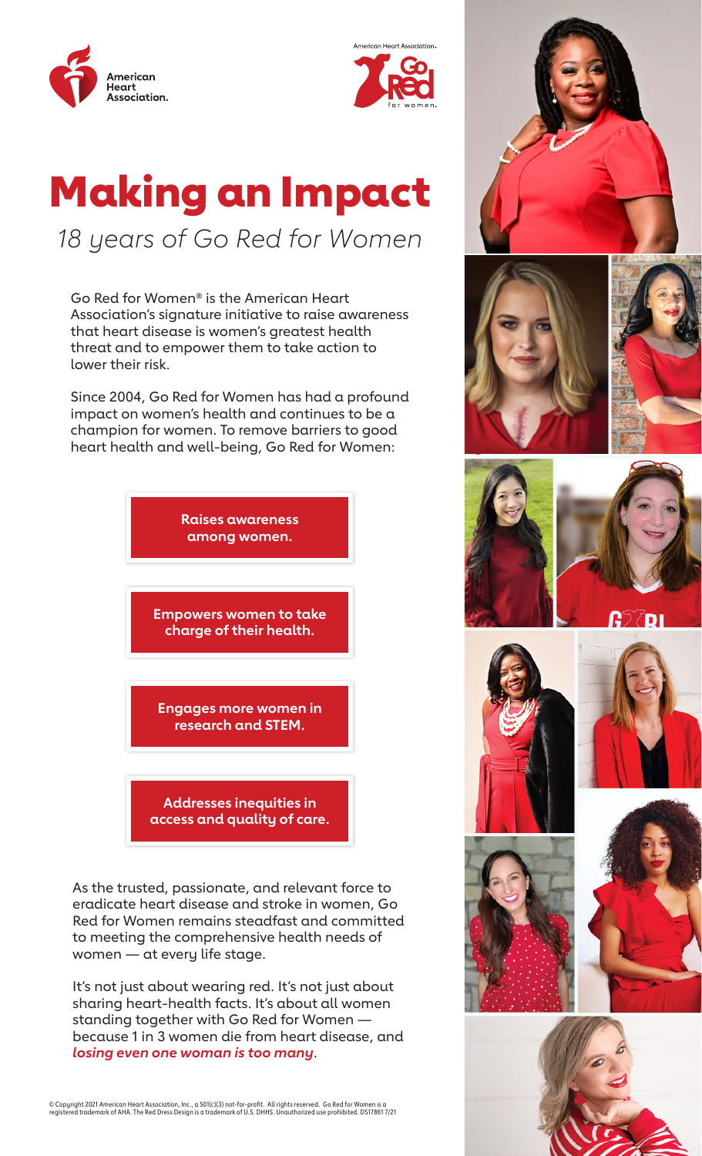



## Making an Impact *18 years of Go Red for Women*

Go Red for Women® is the American Heart Association's signature initiative to raise awareness that heart disease is women's greatest health threat and to empower them to take action to lower their risk.

Since 2004, Go Red for Women has had a profound impact on women's health and continues to be a champion for women. To remove barriers to good heart health and well-being, Go Red for Women:

> **Raises awareness among women. Empowers women to take charge of their health. Engages more women in research and STEM. Addresses inequities in access and quality of care.**

As the trusted, passionate, and relevant force to eradicate heart disease and stroke in women, Go Red for Women remains steadfast and committed to meeting the comprehensive health needs of women — at every life stage.

It's not just about wearing red. It's not just about sharing heart-health facts. It's about all women standing together with Go Red for Women because 1 in 3 women die from heart disease, and *losing even one woman is too many*.